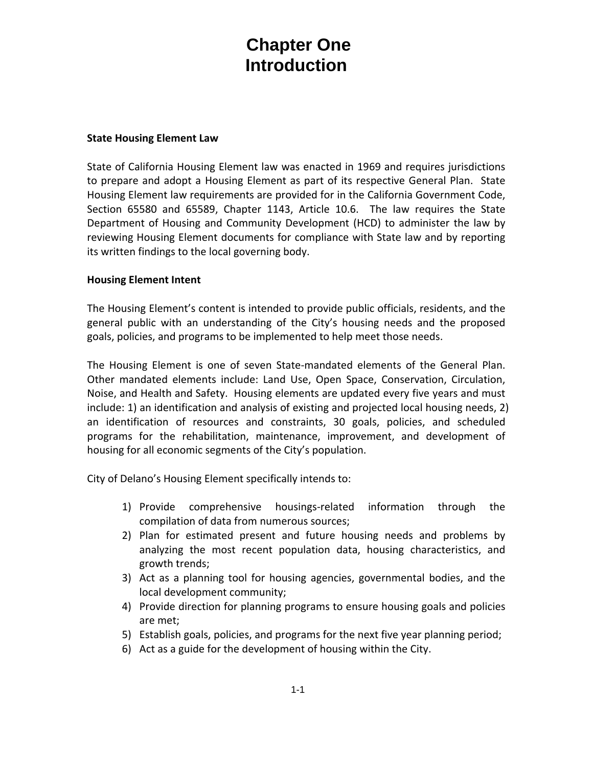## **State Housing Element Law**

State of California Housing Element law was enacted in 1969 and requires jurisdictions to prepare and adopt a Housing Element as part of its respective General Plan. State Housing Element law requirements are provided for in the California Government Code, Section 65580 and 65589, Chapter 1143, Article 10.6. The law requires the State Department of Housing and Community Development (HCD) to administer the law by reviewing Housing Element documents for compliance with State law and by reporting its written findings to the local governing body.

## **Housing Element Intent**

The Housing Element's content is intended to provide public officials, residents, and the general public with an understanding of the City's housing needs and the proposed goals, policies, and programs to be implemented to help meet those needs.

The Housing Element is one of seven State‐mandated elements of the General Plan. Other mandated elements include: Land Use, Open Space, Conservation, Circulation, Noise, and Health and Safety. Housing elements are updated every five years and must include: 1) an identification and analysis of existing and projected local housing needs, 2) an identification of resources and constraints, 30 goals, policies, and scheduled programs for the rehabilitation, maintenance, improvement, and development of housing for all economic segments of the City's population.

City of Delano's Housing Element specifically intends to:

- 1) Provide comprehensive housings‐related information through the compilation of data from numerous sources;
- 2) Plan for estimated present and future housing needs and problems by analyzing the most recent population data, housing characteristics, and growth trends;
- 3) Act as a planning tool for housing agencies, governmental bodies, and the local development community;
- 4) Provide direction for planning programs to ensure housing goals and policies are met;
- 5) Establish goals, policies, and programs for the next five year planning period;
- 6) Act as a guide for the development of housing within the City.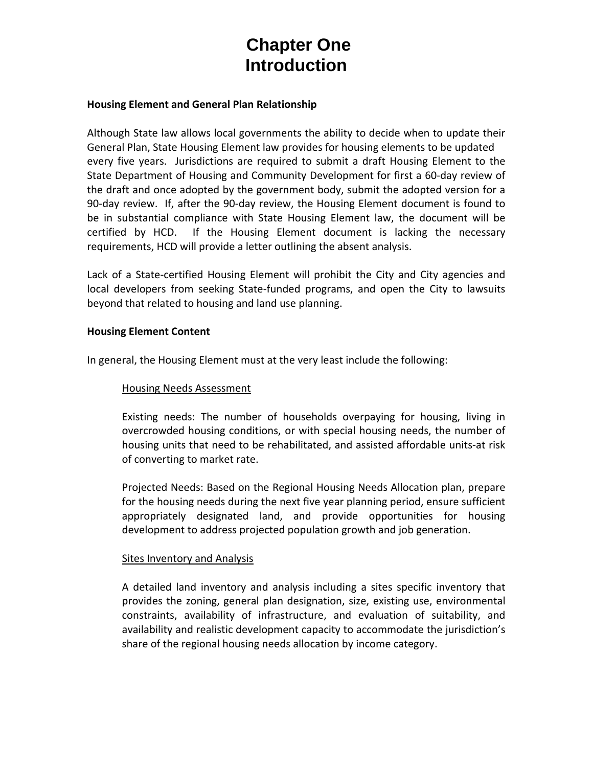## **Housing Element and General Plan Relationship**

Although State law allows local governments the ability to decide when to update their General Plan, State Housing Element law provides for housing elements to be updated every five years. Jurisdictions are required to submit a draft Housing Element to the State Department of Housing and Community Development for first a 60‐day review of the draft and once adopted by the government body, submit the adopted version for a 90‐day review. If, after the 90‐day review, the Housing Element document is found to be in substantial compliance with State Housing Element law, the document will be certified by HCD. If the Housing Element document is lacking the necessary requirements, HCD will provide a letter outlining the absent analysis.

Lack of a State‐certified Housing Element will prohibit the City and City agencies and local developers from seeking State‐funded programs, and open the City to lawsuits beyond that related to housing and land use planning.

## **Housing Element Content**

In general, the Housing Element must at the very least include the following:

## Housing Needs Assessment

Existing needs: The number of households overpaying for housing, living in overcrowded housing conditions, or with special housing needs, the number of housing units that need to be rehabilitated, and assisted affordable units‐at risk of converting to market rate.

Projected Needs: Based on the Regional Housing Needs Allocation plan, prepare for the housing needs during the next five year planning period, ensure sufficient appropriately designated land, and provide opportunities for housing development to address projected population growth and job generation.

## Sites Inventory and Analysis

A detailed land inventory and analysis including a sites specific inventory that provides the zoning, general plan designation, size, existing use, environmental constraints, availability of infrastructure, and evaluation of suitability, and availability and realistic development capacity to accommodate the jurisdiction's share of the regional housing needs allocation by income category.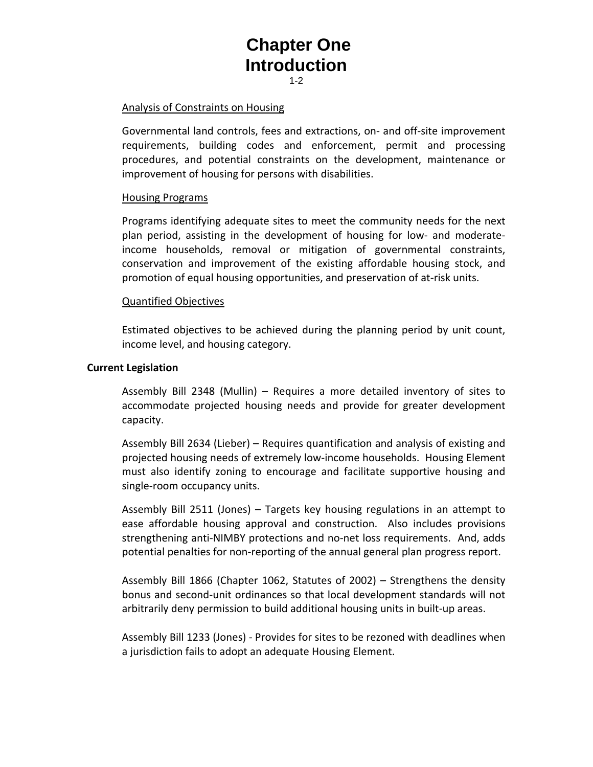1-2

#### Analysis of Constraints on Housing

Governmental land controls, fees and extractions, on‐ and off‐site improvement requirements, building codes and enforcement, permit and processing procedures, and potential constraints on the development, maintenance or improvement of housing for persons with disabilities.

#### Housing Programs

Programs identifying adequate sites to meet the community needs for the next plan period, assisting in the development of housing for low‐ and moderate‐ income households, removal or mitigation of governmental constraints, conservation and improvement of the existing affordable housing stock, and promotion of equal housing opportunities, and preservation of at‐risk units.

#### Quantified Objectives

Estimated objectives to be achieved during the planning period by unit count, income level, and housing category.

#### **Current Legislation**

Assembly Bill 2348 (Mullin) – Requires a more detailed inventory of sites to accommodate projected housing needs and provide for greater development capacity.

Assembly Bill 2634 (Lieber) – Requires quantification and analysis of existing and projected housing needs of extremely low‐income households. Housing Element must also identify zoning to encourage and facilitate supportive housing and single‐room occupancy units.

Assembly Bill 2511 (Jones) – Targets key housing regulations in an attempt to ease affordable housing approval and construction. Also includes provisions strengthening anti-NIMBY protections and no-net loss requirements. And, adds potential penalties for non‐reporting of the annual general plan progress report.

Assembly Bill 1866 (Chapter 1062, Statutes of 2002) – Strengthens the density bonus and second‐unit ordinances so that local development standards will not arbitrarily deny permission to build additional housing units in built‐up areas.

Assembly Bill 1233 (Jones) ‐ Provides for sites to be rezoned with deadlines when a jurisdiction fails to adopt an adequate Housing Element.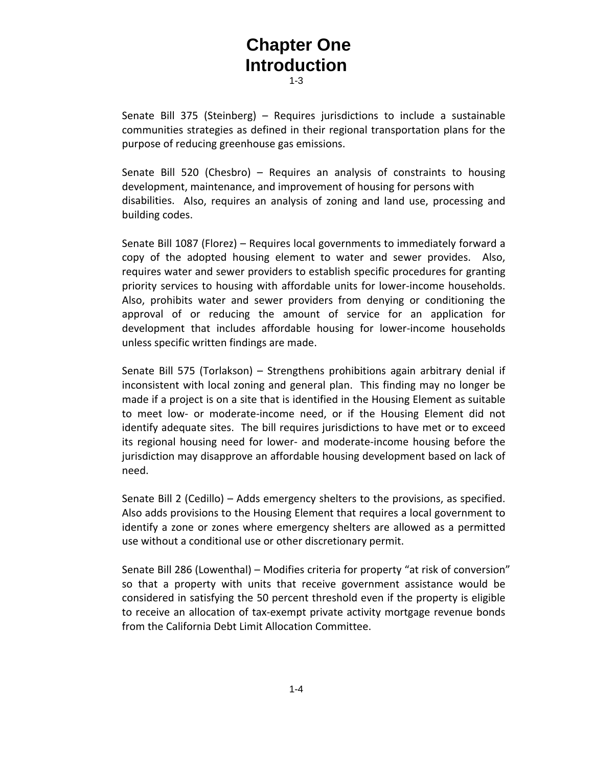1-3

Senate Bill 375 (Steinberg) – Requires jurisdictions to include a sustainable communities strategies as defined in their regional transportation plans for the purpose of reducing greenhouse gas emissions.

Senate Bill 520 (Chesbro) – Requires an analysis of constraints to housing development, maintenance, and improvement of housing for persons with disabilities. Also, requires an analysis of zoning and land use, processing and building codes.

Senate Bill 1087 (Florez) – Requires local governments to immediately forward a copy of the adopted housing element to water and sewer provides. Also, requires water and sewer providers to establish specific procedures for granting priority services to housing with affordable units for lower-income households. Also, prohibits water and sewer providers from denying or conditioning the approval of or reducing the amount of service for an application for development that includes affordable housing for lower-income households unless specific written findings are made.

Senate Bill 575 (Torlakson) – Strengthens prohibitions again arbitrary denial if inconsistent with local zoning and general plan. This finding may no longer be made if a project is on a site that is identified in the Housing Element as suitable to meet low‐ or moderate‐income need, or if the Housing Element did not identify adequate sites. The bill requires jurisdictions to have met or to exceed its regional housing need for lower‐ and moderate‐income housing before the jurisdiction may disapprove an affordable housing development based on lack of need.

Senate Bill 2 (Cedillo) – Adds emergency shelters to the provisions, as specified. Also adds provisions to the Housing Element that requires a local government to identify a zone or zones where emergency shelters are allowed as a permitted use without a conditional use or other discretionary permit.

Senate Bill 286 (Lowenthal) – Modifies criteria for property "at risk of conversion" so that a property with units that receive government assistance would be considered in satisfying the 50 percent threshold even if the property is eligible to receive an allocation of tax‐exempt private activity mortgage revenue bonds from the California Debt Limit Allocation Committee.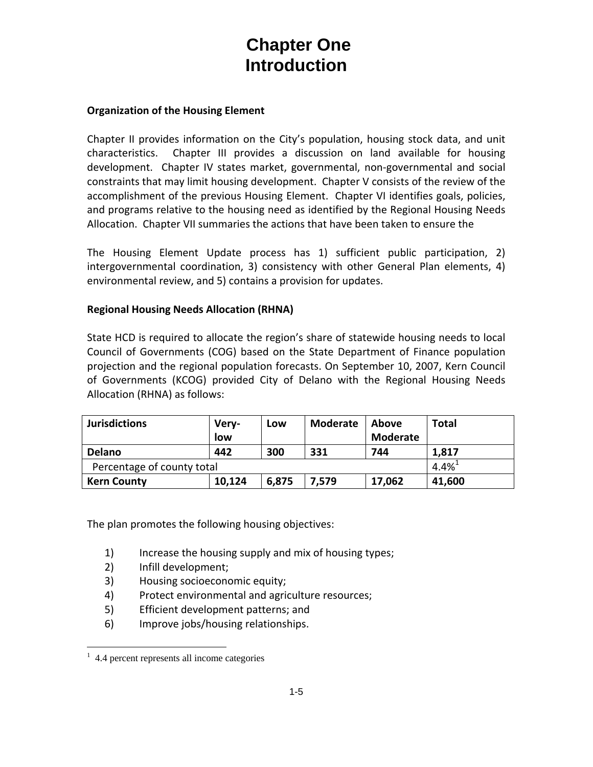## **Organization of the Housing Element**

Chapter II provides information on the City's population, housing stock data, and unit characteristics. Chapter III provides a discussion on land available for housing development. Chapter IV states market, governmental, non‐governmental and social constraints that may limit housing development. Chapter V consists of the review of the accomplishment of the previous Housing Element. Chapter VI identifies goals, policies, and programs relative to the housing need as identified by the Regional Housing Needs Allocation. Chapter VII summaries the actions that have been taken to ensure the

The Housing Element Update process has 1) sufficient public participation, 2) intergovernmental coordination, 3) consistency with other General Plan elements, 4) environmental review, and 5) contains a provision for updates.

## **Regional Housing Needs Allocation (RHNA)**

State HCD is required to allocate the region's share of statewide housing needs to local Council of Governments (COG) based on the State Department of Finance population projection and the regional population forecasts. On September 10, 2007, Kern Council of Governments (KCOG) provided City of Delano with the Regional Housing Needs Allocation (RHNA) as follows:

| <b>Jurisdictions</b>       | Very-<br>low | Low   | <b>Moderate</b> | Above<br><b>Moderate</b> | <b>Total</b> |
|----------------------------|--------------|-------|-----------------|--------------------------|--------------|
| <b>Delano</b>              | 442          | 300   | 331             | 744                      | 1,817        |
| Percentage of county total |              |       |                 |                          | $4.4\%$      |
| <b>Kern County</b>         | 10,124       | 6,875 | 7,579           | 17,062                   | 41,600       |

The plan promotes the following housing objectives:

- 1) Increase the housing supply and mix of housing types;
- 2) Infill development;
- 3) Housing socioeconomic equity;
- 4) Protect environmental and agriculture resources;
- 5) Efficient development patterns; and
- 6) Improve jobs/housing relationships.

 $\overline{a}$ 

<sup>&</sup>lt;sup>1</sup> 4.4 percent represents all income categories